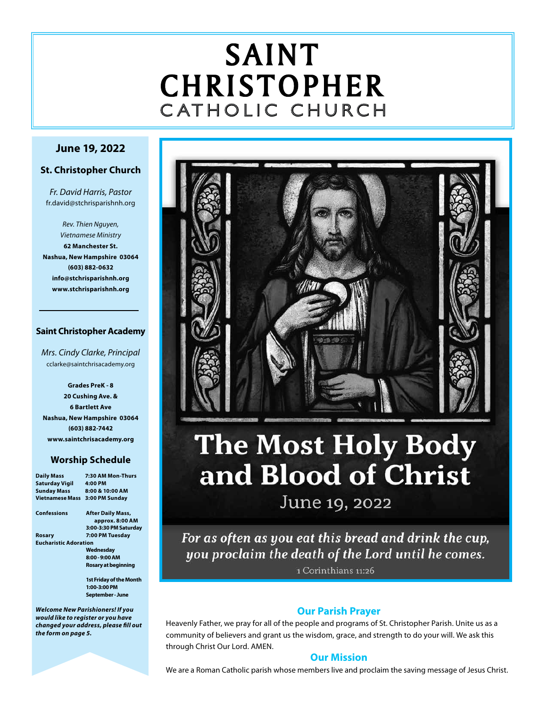# SAINT CHRISTOPHER C ATHOLIC CHURCH

#### **June 19, 2022**

#### **St. Christopher Church**

*Fr. David Harris, Pastor* fr.david@stchrisparishnh.org

*Rev. Thien Nguyen, Vietnamese Ministry* **62 Manchester St. Nashua, New Hampshire 03064 (603) 882-0632 info@stchrisparishnh.org www.stchrisparishnh.org**

#### **Saint Christopher Academy**

*Mrs. Cindy Clarke, Principal* cclarke@saintchrisacademy.org

**Grades PreK - 8 20 Cushing Ave. & 6 Bartlett Ave Nashua, New Hampshire 03064 (603) 882-7442 www.saintchrisacademy.org**

#### **Worship Schedule**

| <b>Daily Mass</b>            | 7:30 AM Mon-Thurs              |
|------------------------------|--------------------------------|
| Saturday Vigil               | 4:00 PM                        |
| <b>Sunday Mass</b>           | 8:00 & 10:00 AM                |
| Vietnamese Mass              | 3:00 PM Sunday                 |
| Confessions                  | <b>After Daily Mass,</b>       |
|                              | approx. 8:00 AM                |
|                              | 3:00-3:30 PM Saturday          |
| Rosary                       | 7:00 PM Tuesday                |
| <b>Eucharistic Adoration</b> |                                |
|                              | Wednesday                      |
|                              | 8:00 - 9:00 AM                 |
|                              | Rosary at beginning            |
|                              | <b>1st Friday of the Month</b> |
|                              | 1:00-3:00 PM                   |
|                              | September - June               |
|                              |                                |

*Welcome New Parishioners! If you would like to register or you have changed your address, please fill out the form on page 5.*



# **The Most Holy Body** and Blood of Christ June 19, 2022

For as often as you eat this bread and drink the cup, you proclaim the death of the Lord until he comes.

1 Corinthians 11:26

#### **Our Parish Prayer**

Heavenly Father, we pray for all of the people and programs of St. Christopher Parish. Unite us as a community of believers and grant us the wisdom, grace, and strength to do your will. We ask this through Christ Our Lord. AMEN.

#### **Our Mission**

We are a Roman Catholic parish whose members live and proclaim the saving message of Jesus Christ.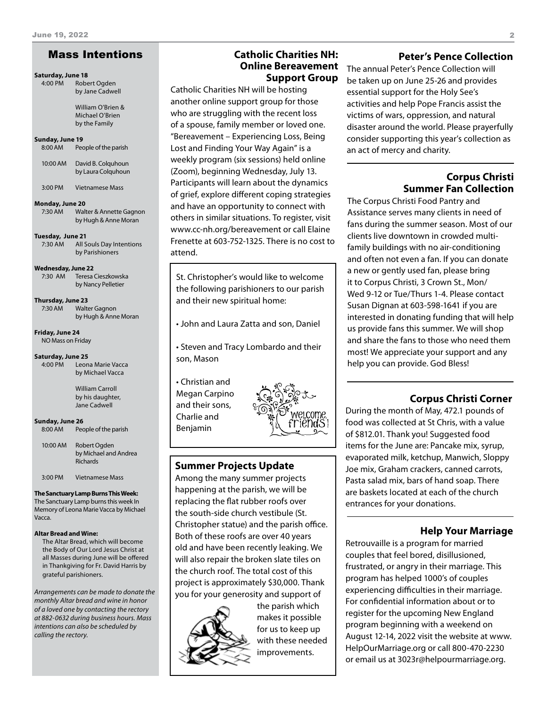#### Mass Intentions

#### **Saturday, June 18**

4:00 PM Robert Ogden by Jane Cadwell

> William O'Brien & Michael O'Brien by the Family

#### **Sunday, June 19**

8:00 AM People of the parish

| 10:00 AM | David B. Colguhoun |
|----------|--------------------|
|          | by Laura Colguhoun |

3:00 PM Vietnamese Mass

#### **Monday, June 20**

7:30 AM Walter & Annette Gagnon by Hugh & Anne Moran

#### **Tuesday, June 21**

7:30 AM All Souls Day Intentions by Parishioners

**Wednesday, June 22**

7:30 AM Teresa Cieszkowska by Nancy Pelletier

**Thursday, June 23** 7:30 AM Walter Gagnon

by Hugh & Anne Moran

**Friday, June 24** NO Mass on Friday

**Saturday, June 25**

4:00 PM Leona Marie Vacca by Michael Vacca

> William Carroll by his daughter, Jane Cadwell

#### **Sunday, June 26**

8:00 AM People of the parish

10:00 AM Robert Ogden by Michael and Andrea Richards

3:00 PM Vietnamese Mass

#### **The Sanctuary Lamp Burns This Week:**

The Sanctuary Lamp burns this week In Memory of Leona Marie Vacca by Michael Vacca.

#### **Altar Bread and Wine:**

The Altar Bread, which will become the Body of Our Lord Jesus Christ at all Masses during June will be offered in Thankgiving for Fr. David Harris by grateful parishioners.

*Arrangements can be made to donate the monthly Altar bread and wine in honor of a loved one by contacting the rectory at 882-0632 during business hours. Mass intentions can also be scheduled by calling the rectory.* 

#### **Catholic Charities NH: Online Bereavement Support Group**

Catholic Charities NH will be hosting another online support group for those who are struggling with the recent loss of a spouse, family member or loved one. "Bereavement – Experiencing Loss, Being Lost and Finding Your Way Again" is a weekly program (six sessions) held online (Zoom), beginning Wednesday, July 13. Participants will learn about the dynamics of grief, explore different coping strategies and have an opportunity to connect with others in similar situations. To register, visit www.cc-nh.org/bereavement or call Elaine Frenette at 603-752-1325. There is no cost to attend.

St. Christopher's would like to welcome the following parishioners to our parish and their new spiritual home:

• John and Laura Zatta and son, Daniel

• Steven and Tracy Lombardo and their son, Mason

• Christian and Megan Carpino and their sons, Charlie and Benjamin



#### **Summer Projects Update**

Among the many summer projects happening at the parish, we will be replacing the flat rubber roofs over the south-side church vestibule (St. Christopher statue) and the parish office. Both of these roofs are over 40 years old and have been recently leaking. We will also repair the broken slate tiles on the church roof. The total cost of this project is approximately \$30,000. Thank you for your generosity and support of



the parish which makes it possible for us to keep up with these needed improvements.

#### **Peter's Pence Collection**

The annual Peter's Pence Collection will be taken up on June 25-26 and provides essential support for the Holy See's activities and help Pope Francis assist the victims of wars, oppression, and natural disaster around the world. Please prayerfully consider supporting this year's collection as an act of mercy and charity.

#### **Corpus Christi Summer Fan Collection**

The Corpus Christi Food Pantry and Assistance serves many clients in need of fans during the summer season. Most of our clients live downtown in crowded multifamily buildings with no air-conditioning and often not even a fan. If you can donate a new or gently used fan, please bring it to Corpus Christi, 3 Crown St., Mon/ Wed 9-12 or Tue/Thurs 1-4. Please contact Susan Dignan at 603-598-1641 if you are interested in donating funding that will help us provide fans this summer. We will shop and share the fans to those who need them most! We appreciate your support and any help you can provide. God Bless!

#### **Corpus Christi Corner**

During the month of May, 472.1 pounds of food was collected at St Chris, with a value of \$812.01. Thank you! Suggested food items for the June are: Pancake mix, syrup, evaporated milk, ketchup, Manwich, Sloppy Joe mix, Graham crackers, canned carrots, Pasta salad mix, bars of hand soap. There are baskets located at each of the church entrances for your donations.

#### **Help Your Marriage**

Retrouvaille is a program for married couples that feel bored, disillusioned, frustrated, or angry in their marriage. This program has helped 1000's of couples experiencing difficulties in their marriage. For confidential information about or to register for the upcoming New England program beginning with a weekend on August 12-14, 2022 visit the website at www. HelpOurMarriage.org or call 800-470-2230 or email us at 3023r@helpourmarriage.org.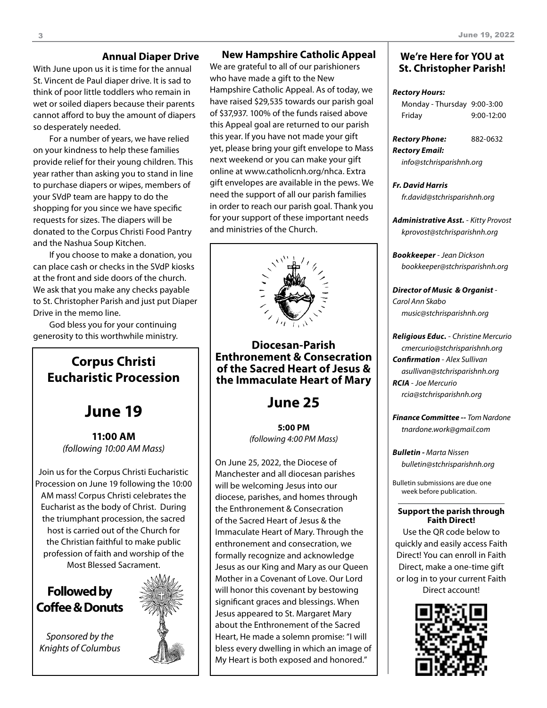#### **Annual Diaper Drive**

With June upon us it is time for the annual St. Vincent de Paul diaper drive. It is sad to think of poor little toddlers who remain in wet or soiled diapers because their parents cannot afford to buy the amount of diapers so desperately needed.

For a number of years, we have relied on your kindness to help these families provide relief for their young children. This year rather than asking you to stand in line to purchase diapers or wipes, members of your SVdP team are happy to do the shopping for you since we have specific requests for sizes. The diapers will be donated to the Corpus Christi Food Pantry and the Nashua Soup Kitchen.

If you choose to make a donation, you can place cash or checks in the SVdP kiosks at the front and side doors of the church. We ask that you make any checks payable to St. Christopher Parish and just put Diaper Drive in the memo line.

God bless you for your continuing generosity to this worthwhile ministry.

### **Corpus Christi Eucharistic Procession**

## **June 19**

**11:00 AM** *(following 10:00 AM Mass)*

Join us for the Corpus Christi Eucharistic Procession on June 19 following the 10:00 AM mass! Corpus Christi celebrates the Eucharist as the body of Christ. During the triumphant procession, the sacred host is carried out of the Church for the Christian faithful to make public profession of faith and worship of the Most Blessed Sacrament.

### **Followed by Coffee & Donuts**

*Sponsored by the Knights of Columbus*

this year. If you have not made your gift yet, please bring your gift envelope to Mass

next weekend or you can make your gift online at www.catholicnh.org/nhca. Extra gift envelopes are available in the pews. We need the support of all our parish families in order to reach our parish goal. Thank you for your support of these important needs and ministries of the Church.

**New Hampshire Catholic Appeal**

We are grateful to all of our parishioners who have made a gift to the New

Hampshire Catholic Appeal. As of today, we have raised \$29,535 towards our parish goal of \$37,937. 100% of the funds raised above this Appeal goal are returned to our parish



#### **Diocesan-Parish Enthronement & Consecration of the Sacred Heart of Jesus & the Immaculate Heart of Mary**

### **June 25**

**5:00 PM** *(following 4:00 PM Mass)*

On June 25, 2022, the Diocese of Manchester and all diocesan parishes will be welcoming Jesus into our diocese, parishes, and homes through the Enthronement & Consecration of the Sacred Heart of Jesus & the Immaculate Heart of Mary. Through the enthronement and consecration, we formally recognize and acknowledge Jesus as our King and Mary as our Queen Mother in a Covenant of Love. Our Lord will honor this covenant by bestowing significant graces and blessings. When Jesus appeared to St. Margaret Mary about the Enthronement of the Sacred Heart, He made a solemn promise: "I will bless every dwelling in which an image of My Heart is both exposed and honored."

#### **We're Here for YOU at St. Christopher Parish!**

#### *Rectory Hours:*

| Monday - Thursday 9:00-3:00 |              |
|-----------------------------|--------------|
| Friday                      | $9:00-12:00$ |

| <b>Rectory Phone:</b> | 882-0632 |
|-----------------------|----------|
| Rectory Email:        |          |

*info@stchrisparishnh.org*

#### *Fr. David Harris fr.david@stchrisparishnh.org*

*Administrative Asst.* - *Kitty Provost kprovost@stchrisparishnh.org*

*Bookkeeper* - *Jean Dickson bookkeeper@stchrisparishnh.org*

*Director of Music & Organist* - *Carol Ann Skabo music@stchrisparishnh.org*

#### *Religious Educ.* - *Christine Mercurio cmercurio@stchrisparishnh.org Confirmation* - *Alex Sullivan asullivan@stchrisparishnh.org RCIA* - *Joe Mercurio rcia@stchrisparishnh.org*

*Finance Committee -- Tom Nardone tnardone.work@gmail.com*

*Bulletin - Marta Nissen bulletin@stchrisparishnh.org*

Bulletin submissions are due one week before publication.

#### **Support the parish through Faith Direct!**

Use the QR code below to quickly and easily access Faith Direct! You can enroll in Faith Direct, make a one-time gift or log in to your current Faith

Direct account!

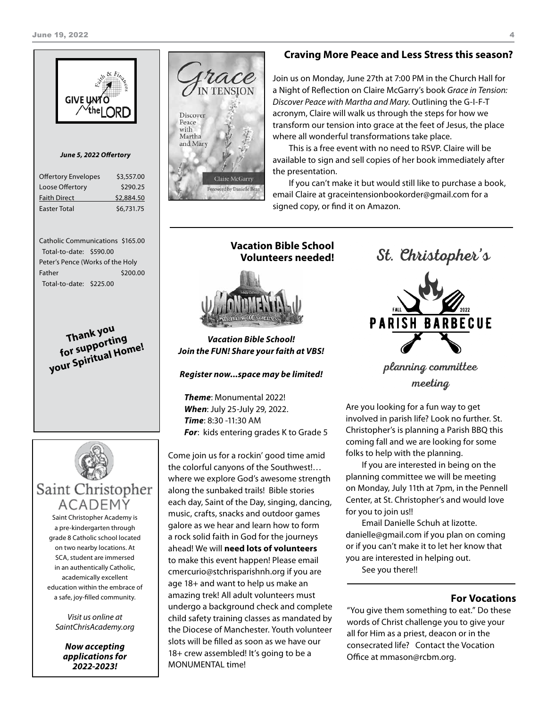

```
Thank you 
  for supporting 
your Spiritual Home!
```


Saint Christopher Academy is a pre-kindergarten through grade 8 Catholic school located on two nearby locations. At SCA, student are immersed in an authentically Catholic, academically excellent education within the embrace of a safe, joy-filled community.

*Visit us online at SaintChrisAcademy.org*

> *Now accepting applications for 2022-2023!*



#### **Craving More Peace and Less Stress this season?**

Join us on Monday, June 27th at 7:00 PM in the Church Hall for a Night of Reflection on Claire McGarry's book *Grace in Tension: Discover Peace with Martha and Mary*. Outlining the G-I-F-T acronym, Claire will walk us through the steps for how we transform our tension into grace at the feet of Jesus, the place where all wonderful transformations take place.

This is a free event with no need to RSVP. Claire will be available to sign and sell copies of her book immediately after the presentation.

If you can't make it but would still like to purchase a book, email Claire at graceintensionbookorder@gmail.com for a signed copy, or find it on Amazon.

**Vacation Bible School Volunteers needed!**

#### *Vacation Bible School! Join the FUN! Share your faith at VBS!*

*Register now...space may be limited!*

*Theme*: Monumental 2022! *When*: July 25-July 29, 2022. *Time*: 8:30 -11:30 AM *For*: kids entering grades K to Grade 5

Come join us for a rockin' good time amid the colorful canyons of the Southwest!… where we explore God's awesome strength along the sunbaked trails! Bible stories each day, Saint of the Day, singing, dancing, music, crafts, snacks and outdoor games galore as we hear and learn how to form a rock solid faith in God for the journeys ahead! We will **need lots of volunteers** to make this event happen! Please email cmercurio@stchrisparishnh.org if you are age 18+ and want to help us make an amazing trek! All adult volunteers must undergo a background check and complete child safety training classes as mandated by the Diocese of Manchester. Youth volunteer slots will be filled as soon as we have our 18+ crew assembled! It's going to be a MONUMENTAL time!

St. Christopher's **PARISH BARBECUE** 

planning committee meeting

Are you looking for a fun way to get involved in parish life? Look no further. St. Christopher's is planning a Parish BBQ this coming fall and we are looking for some folks to help with the planning.

If you are interested in being on the planning committee we will be meeting on Monday, July 11th at 7pm, in the Pennell Center, at St. Christopher's and would love for you to join us!!

Email Danielle Schuh at lizotte. danielle@gmail.com if you plan on coming or if you can't make it to let her know that you are interested in helping out.

See you there!!

#### **For Vocations**

"You give them something to eat." Do these words of Christ challenge you to give your all for Him as a priest, deacon or in the consecrated life? Contact the Vocation Office at mmason@rcbm.org.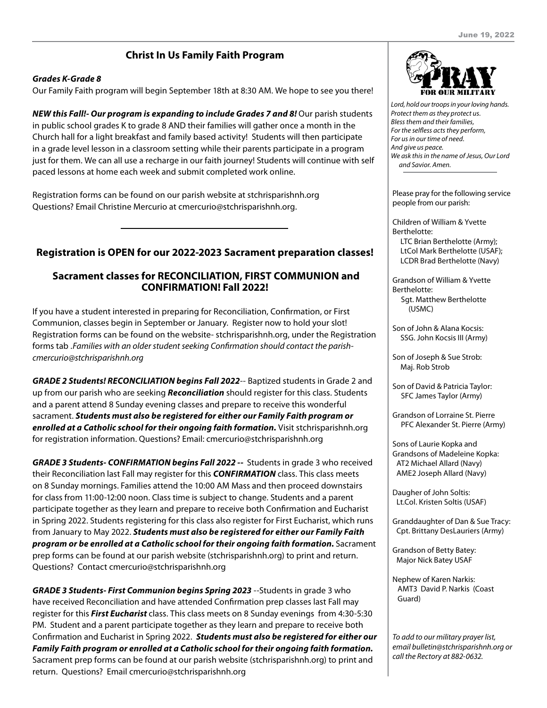### **Christ In Us Family Faith Program**

#### *Grades K-Grade 8*

Our Family Faith program will begin September 18th at 8:30 AM. We hope to see you there!

*NEW this Fall!- Our program is expanding to include Grades 7 and 8! Our parish students* in public school grades K to grade 8 AND their families will gather once a month in the Church hall for a light breakfast and family based activity! Students will then participate in a grade level lesson in a classroom setting while their parents participate in a program just for them. We can all use a recharge in our faith journey! Students will continue with self paced lessons at home each week and submit completed work online.

Registration forms can be found on our parish website at stchrisparishnh.org Questions? Email Christine Mercurio at cmercurio@stchrisparishnh.org.

#### **Registration is OPEN for our 2022-2023 Sacrament preparation classes!**

#### **Sacrament classes for RECONCILIATION, FIRST COMMUNION and CONFIRMATION! Fall 2022!**

If you have a student interested in preparing for Reconciliation, Confirmation, or First Communion, classes begin in September or January. Register now to hold your slot! Registration forms can be found on the website- stchrisparishnh.org, under the Registration forms tab .*Families with an older student seeking Confirmation should contact the parishcmercurio@stchrisparishnh.org*

*GRADE 2 Students! RECONCILIATION begins Fall 2022*-- Baptized students in Grade 2 and up from our parish who are seeking *Reconciliation* should register for this class. Students and a parent attend 8 Sunday evening classes and prepare to receive this wonderful sacrament. *Students must also be registered for either our Family Faith program or enrolled at a Catholic school for their ongoing faith formation.* Visit stchrisparishnh.org for registration information. Questions? Email: cmercurio@stchrisparishnh.org

*GRADE 3 Students- CONFIRMATION begins Fall 2022 --* Students in grade 3 who received their Reconciliation last Fall may register for this *CONFIRMATION* class. This class meets on 8 Sunday mornings. Families attend the 10:00 AM Mass and then proceed downstairs for class from 11:00-12:00 noon. Class time is subject to change. Students and a parent participate together as they learn and prepare to receive both Confirmation and Eucharist in Spring 2022. Students registering for this class also register for First Eucharist, which runs from January to May 2022. *Students must also be registered for either our Family Faith program or be enrolled at a Catholic school for their ongoing faith formation.* Sacrament prep forms can be found at our parish website (stchrisparishnh.org) to print and return. Questions? Contact cmercurio@stchrisparishnh.org

*GRADE 3 Students- First Communion begins Spring 2023* --Students in grade 3 who have received Reconciliation and have attended Confirmation prep classes last Fall may register for this *First Eucharist* class. This class meets on 8 Sunday evenings from 4:30-5:30 PM. Student and a parent participate together as they learn and prepare to receive both Confirmation and Eucharist in Spring 2022. *Students must also be registered for either our Family Faith program or enrolled at a Catholic school for their ongoing faith formation.* Sacrament prep forms can be found at our parish website (stchrisparishnh.org) to print and return. Questions? Email cmercurio@stchrisparishnh.org



*Lord, hold our troops in your loving hands. Protect them as they protect us. Bless them and their families, For the selfless acts they perform, For us in our time of need. And give us peace. We ask this in the name of Jesus, Our Lord and Savior. Amen.*

Please pray for the following service people from our parish:

Children of William & Yvette Berthelotte: LTC Brian Berthelotte (Army); LtCol Mark Berthelotte (USAF); LCDR Brad Berthelotte (Navy)

Grandson of William & Yvette Berthelotte: Sgt. Matthew Berthelotte (USMC)

Son of John & Alana Kocsis: SSG. John Kocsis III (Army)

Son of Joseph & Sue Strob: Maj. Rob Strob

Son of David & Patricia Taylor: SFC James Taylor (Army)

Grandson of Lorraine St. Pierre PFC Alexander St. Pierre (Army)

Sons of Laurie Kopka and Grandsons of Madeleine Kopka: AT2 Michael Allard (Navy) AME2 Joseph Allard (Navy)

Daugher of John Soltis: Lt.Col. Kristen Soltis (USAF)

Granddaughter of Dan & Sue Tracy: Cpt. Brittany DesLauriers (Army)

Grandson of Betty Batey: Major Nick Batey USAF

Nephew of Karen Narkis: AMT3 David P. Narkis (Coast Guard)

*To add to our military prayer list, email bulletin@stchrisparishnh.org or call the Rectory at 882-0632.*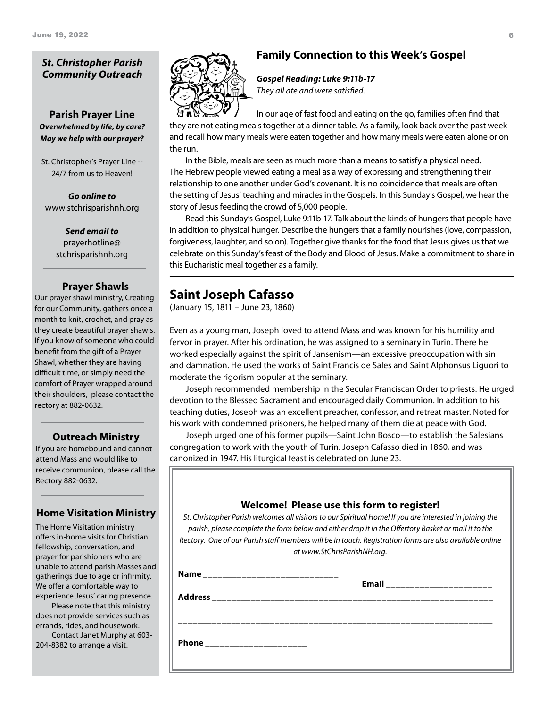#### *St. Christopher Parish Community Outreach*

#### **Parish Prayer Line** *Overwhelmed by life, by care? May we help with our prayer?*

St. Christopher's Prayer Line -- 24/7 from us to Heaven!

*Go online to* www.stchrisparishnh.org

> *Send email to* prayerhotline@ stchrisparishnh.org

#### **Prayer Shawls**

Our prayer shawl ministry, Creating for our Community, gathers once a month to knit, crochet, and pray as they create beautiful prayer shawls. If you know of someone who could benefit from the gift of a Prayer Shawl, whether they are having difficult time, or simply need the comfort of Prayer wrapped around their shoulders, please contact the rectory at 882-0632.

#### **Outreach Ministry**

If you are homebound and cannot attend Mass and would like to receive communion, please call the Rectory 882-0632.

I

#### **Home Visitation Ministry**

The Home Visitation ministry offers in-home visits for Christian fellowship, conversation, and prayer for parishioners who are unable to attend parish Masses and gatherings due to age or infirmity. We offer a comfortable way to experience Jesus' caring presence.

Please note that this ministry does not provide services such as errands, rides, and housework.

Contact Janet Murphy at 603- 204-8382 to arrange a visit.

### **Family Connection to this Week's Gospel**

*Gospel Reading: Luke 9:11b-17 They all ate and were satisfied.*

In our age of fast food and eating on the go, families often find that they are not eating meals together at a dinner table. As a family, look back over the past week and recall how many meals were eaten together and how many meals were eaten alone or on the run.

In the Bible, meals are seen as much more than a means to satisfy a physical need. The Hebrew people viewed eating a meal as a way of expressing and strengthening their relationship to one another under God's covenant. It is no coincidence that meals are often the setting of Jesus' teaching and miracles in the Gospels. In this Sunday's Gospel, we hear the story of Jesus feeding the crowd of 5,000 people.

Read this Sunday's Gospel, Luke 9:11b-17. Talk about the kinds of hungers that people have in addition to physical hunger. Describe the hungers that a family nourishes (love, compassion, forgiveness, laughter, and so on). Together give thanks for the food that Jesus gives us that we celebrate on this Sunday's feast of the Body and Blood of Jesus. Make a commitment to share in this Eucharistic meal together as a family.

### **Saint Joseph Cafasso**

(January 15, 1811 – June 23, 1860)

Even as a young man, Joseph loved to attend Mass and was known for his humility and fervor in prayer. After his ordination, he was assigned to a seminary in Turin. There he worked especially against the spirit of Jansenism—an excessive preoccupation with sin and damnation. He used the works of Saint Francis de Sales and Saint Alphonsus Liguori to moderate the rigorism popular at the seminary.

Joseph recommended membership in the Secular Franciscan Order to priests. He urged devotion to the Blessed Sacrament and encouraged daily Communion. In addition to his teaching duties, Joseph was an excellent preacher, confessor, and retreat master. Noted for his work with condemned prisoners, he helped many of them die at peace with God.

Joseph urged one of his former pupils—Saint John Bosco—to establish the Salesians congregation to work with the youth of Turin. Joseph Cafasso died in 1860, and was canonized in 1947. His liturgical feast is celebrated on June 23.

|                                       | Welcome! Please use this form to register!<br>St. Christopher Parish welcomes all visitors to our Spiritual Home! If you are interested in joining the<br>parish, please complete the form below and either drop it in the Offertory Basket or mail it to the<br>Rectory. One of our Parish staff members will be in touch. Registration forms are also available online<br>at www.StChrisParishNH.org. |
|---------------------------------------|---------------------------------------------------------------------------------------------------------------------------------------------------------------------------------------------------------------------------------------------------------------------------------------------------------------------------------------------------------------------------------------------------------|
| Name ________________________________ | Email ________________________                                                                                                                                                                                                                                                                                                                                                                          |
|                                       |                                                                                                                                                                                                                                                                                                                                                                                                         |
|                                       |                                                                                                                                                                                                                                                                                                                                                                                                         |
| Phone _____________________           |                                                                                                                                                                                                                                                                                                                                                                                                         |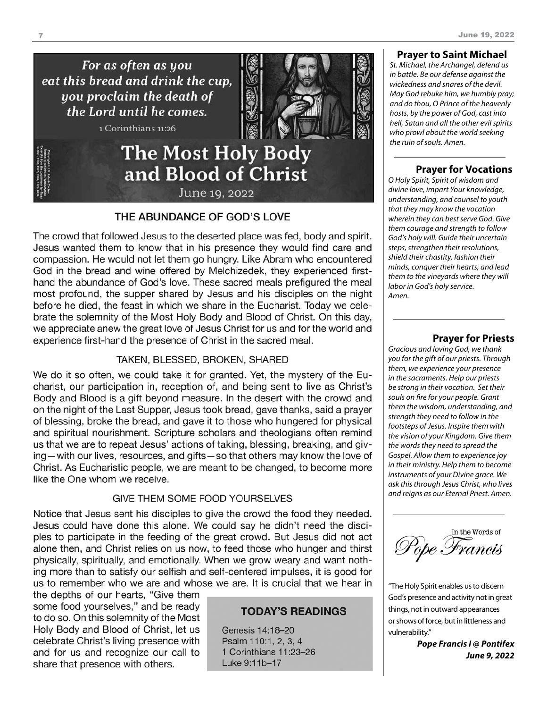For as often as you eat this bread and drink the cup, you proclaim the death of the Lord until he comes.

1 Corinthians 11:26



## **The Most Holy Body** and Blood of Christ June 19, 2022

#### THE ABUNDANCE OF GOD'S LOVE

The crowd that followed Jesus to the deserted place was fed, body and spirit. Jesus wanted them to know that in his presence they would find care and compassion. He would not let them go hungry. Like Abram who encountered God in the bread and wine offered by Melchizedek, they experienced firsthand the abundance of God's love. These sacred meals prefigured the meal most profound, the supper shared by Jesus and his disciples on the night before he died, the feast in which we share in the Eucharist. Today we celebrate the solemnity of the Most Holy Body and Blood of Christ. On this day, we appreciate anew the great love of Jesus Christ for us and for the world and experience first-hand the presence of Christ in the sacred meal.

#### TAKEN, BLESSED, BROKEN, SHARED

We do it so often, we could take it for granted. Yet, the mystery of the Eucharist, our participation in, reception of, and being sent to live as Christ's Body and Blood is a gift beyond measure. In the desert with the crowd and on the night of the Last Supper, Jesus took bread, gave thanks, said a prayer of blessing, broke the bread, and gave it to those who hungered for physical and spiritual nourishment. Scripture scholars and theologians often remind us that we are to repeat Jesus' actions of taking, blessing, breaking, and giving—with our lives, resources, and gifts—so that others may know the love of Christ. As Eucharistic people, we are meant to be changed, to become more like the One whom we receive.

#### **GIVE THEM SOME FOOD YOURSELVES**

Notice that Jesus sent his disciples to give the crowd the food they needed. Jesus could have done this alone. We could say he didn't need the disciples to participate in the feeding of the great crowd. But Jesus did not act alone then, and Christ relies on us now, to feed those who hunger and thirst physically, spiritually, and emotionally. When we grow weary and want nothing more than to satisfy our selfish and self-centered impulses, it is good for us to remember who we are and whose we are. It is crucial that we hear in

the depths of our hearts, "Give them some food yourselves," and be ready to do so. On this solemnity of the Most Holy Body and Blood of Christ, let us celebrate Christ's living presence with and for us and recognize our call to share that presence with others.

#### **TODAY'S READINGS**

Genesis 14:18-20 Psalm 110:1, 2, 3, 4 1 Corinthians 11:23-26 Luke 9:11b-17

#### **Prayer to Saint Michael**

*St. Michael, the Archangel, defend us in battle. Be our defense against the wickedness and snares of the devil. May God rebuke him, we humbly pray; and do thou, O Prince of the heavenly hosts, by the power of God, cast into hell, Satan and all the other evil spirits who prowl about the world seeking the ruin of souls. Amen.*

#### **Prayer for Vocations**

*O Holy Spirit, Spirit of wisdom and divine love, impart Your knowledge, understanding, and counsel to youth that they may know the vocation wherein they can best serve God. Give them courage and strength to follow God's holy will. Guide their uncertain steps, strengthen their resolutions, shield their chastity, fashion their minds, conquer their hearts, and lead them to the vineyards where they will labor in God's holy service. Amen.*

#### **Prayer for Priests**

*Gracious and loving God, we thank you for the gift of our priests. Through them, we experience your presence in the sacraments. Help our priests be strong in their vocation. Set their souls on fire for your people. Grant them the wisdom, understanding, and strength they need to follow in the footsteps of Jesus. Inspire them with the vision of your Kingdom. Give them the words they need to spread the Gospel. Allow them to experience joy in their ministry. Help them to become instruments of your Divine grace. We ask this through Jesus Christ, who lives and reigns as our Eternal Priest. Amen.*

In the Words of Pope Francis

"The Holy Spirit enables us to discern God's presence and activity not in great things, not in outward appearances or shows of force, but in littleness and vulnerability."

> *Pope Francis I @ Pontifex June 9, 2022*